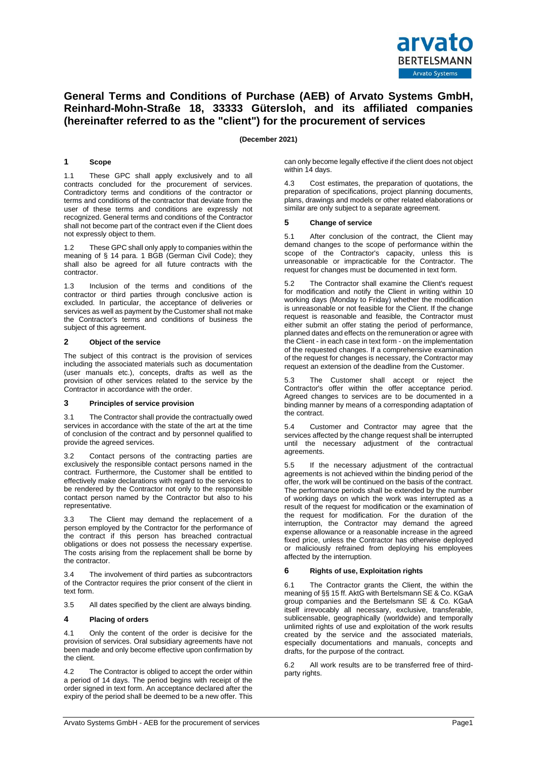

# **General Terms and Conditions of Purchase (AEB) of Arvato Systems GmbH, Reinhard-Mohn-Straße 18, 33333 Gütersloh, and its affiliated companies (hereinafter referred to as the "client") for the procurement of services**

# **(December 2021)**

# **1 Scope**

1.1 These GPC shall apply exclusively and to all contracts concluded for the procurement of services. Contradictory terms and conditions of the contractor or terms and conditions of the contractor that deviate from the user of these terms and conditions are expressly not recognized. General terms and conditions of the Contractor shall not become part of the contract even if the Client does not expressly object to them.

These GPC shall only apply to companies within the meaning of § 14 para. 1 BGB (German Civil Code); they shall also be agreed for all future contracts with the contractor.

1.3 Inclusion of the terms and conditions of the contractor or third parties through conclusive action is excluded. In particular, the acceptance of deliveries or services as well as payment by the Customer shall not make the Contractor's terms and conditions of business the subject of this agreement.

# **2 Object of the service**

The subject of this contract is the provision of services including the associated materials such as documentation (user manuals etc.), concepts, drafts as well as the provision of other services related to the service by the Contractor in accordance with the order.

## **3 Principles of service provision**

3.1 The Contractor shall provide the contractually owed services in accordance with the state of the art at the time of conclusion of the contract and by personnel qualified to provide the agreed services.

3.2 Contact persons of the contracting parties are exclusively the responsible contact persons named in the contract. Furthermore, the Customer shall be entitled to effectively make declarations with regard to the services to be rendered by the Contractor not only to the responsible contact person named by the Contractor but also to his representative.

3.3 The Client may demand the replacement of a person employed by the Contractor for the performance of the contract if this person has breached contractual obligations or does not possess the necessary expertise. The costs arising from the replacement shall be borne by the contractor.

3.4 The involvement of third parties as subcontractors of the Contractor requires the prior consent of the client in text form.

3.5 All dates specified by the client are always binding.

## **4 Placing of orders**

4.1 Only the content of the order is decisive for the provision of services. Oral subsidiary agreements have not been made and only become effective upon confirmation by the client.

4.2 The Contractor is obliged to accept the order within a period of 14 days. The period begins with receipt of the order signed in text form. An acceptance declared after the expiry of the period shall be deemed to be a new offer. This can only become legally effective if the client does not object within 14 days.

4.3 Cost estimates, the preparation of quotations, the preparation of specifications, project planning documents, plans, drawings and models or other related elaborations or similar are only subject to a separate agreement.

# **5 Change of service**

5.1 After conclusion of the contract, the Client may demand changes to the scope of performance within the scope of the Contractor's capacity, unless this is unreasonable or impracticable for the Contractor. The request for changes must be documented in text form.

The Contractor shall examine the Client's request for modification and notify the Client in writing within 10 working days (Monday to Friday) whether the modification is unreasonable or not feasible for the Client. If the change request is reasonable and feasible, the Contractor must either submit an offer stating the period of performance, planned dates and effects on the remuneration or agree with the Client - in each case in text form - on the implementation of the requested changes. If a comprehensive examination of the request for changes is necessary, the Contractor may request an extension of the deadline from the Customer.

5.3 The Customer shall accept or reject the Contractor's offer within the offer acceptance period. Agreed changes to services are to be documented in a binding manner by means of a corresponding adaptation of the contract.

5.4 Customer and Contractor may agree that the services affected by the change request shall be interrupted until the necessary adjustment of the contractual agreements.

5.5 If the necessary adjustment of the contractual agreements is not achieved within the binding period of the offer, the work will be continued on the basis of the contract. The performance periods shall be extended by the number of working days on which the work was interrupted as a result of the request for modification or the examination of the request for modification. For the duration of the interruption, the Contractor may demand the agreed expense allowance or a reasonable increase in the agreed fixed price, unless the Contractor has otherwise deployed or maliciously refrained from deploying his employees affected by the interruption.

## **6 Rights of use, Exploitation rights**

6.1 The Contractor grants the Client, the within the meaning of §§ 15 ff. AktG with Bertelsmann SE & Co. KGaA group companies and the Bertelsmann SE & Co. KGaA itself irrevocably all necessary, exclusive, transferable, sublicensable, geographically (worldwide) and temporally unlimited rights of use and exploitation of the work results created by the service and the associated materials, especially documentations and manuals, concepts and drafts, for the purpose of the contract.

6.2 All work results are to be transferred free of thirdparty rights.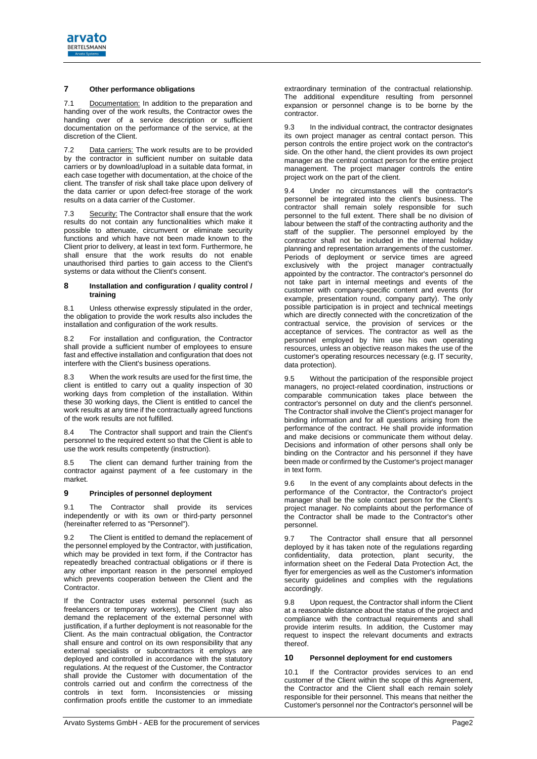

# **7 Other performance obligations**

7.1 Documentation: In addition to the preparation and handing over of the work results, the Contractor owes the handing over of a service description or sufficient documentation on the performance of the service, at the discretion of the Client.

7.2 Data carriers: The work results are to be provided by the contractor in sufficient number on suitable data carriers or by download/upload in a suitable data format, in each case together with documentation, at the choice of the client. The transfer of risk shall take place upon delivery of the data carrier or upon defect-free storage of the work results on a data carrier of the Customer.

7.3 Security: The Contractor shall ensure that the work results do not contain any functionalities which make it possible to attenuate, circumvent or eliminate security functions and which have not been made known to the Client prior to delivery, at least in text form. Furthermore, he shall ensure that the work results do not enable unauthorised third parties to gain access to the Client's systems or data without the Client's consent.

#### **8 Installation and configuration / quality control / training**

8.1 Unless otherwise expressly stipulated in the order, the obligation to provide the work results also includes the installation and configuration of the work results.

For installation and configuration, the Contractor shall provide a sufficient number of employees to ensure fast and effective installation and configuration that does not interfere with the Client's business operations.

8.3 When the work results are used for the first time, the client is entitled to carry out a quality inspection of 30 working days from completion of the installation. Within these 30 working days, the Client is entitled to cancel the work results at any time if the contractually agreed functions of the work results are not fulfilled.

8.4 The Contractor shall support and train the Client's personnel to the required extent so that the Client is able to use the work results competently (instruction).

8.5 The client can demand further training from the contractor against payment of a fee customary in the market.

# **9 Principles of personnel deployment**

9.1 The Contractor shall provide its services independently or with its own or third-party personnel (hereinafter referred to as "Personnel").

9.2 The Client is entitled to demand the replacement of the personnel employed by the Contractor, with justification, which may be provided in text form, if the Contractor has repeatedly breached contractual obligations or if there is any other important reason in the personnel employed which prevents cooperation between the Client and the Contractor.

If the Contractor uses external personnel (such as freelancers or temporary workers), the Client may also demand the replacement of the external personnel with justification, if a further deployment is not reasonable for the Client. As the main contractual obligation, the Contractor shall ensure and control on its own responsibility that any external specialists or subcontractors it employs are deployed and controlled in accordance with the statutory regulations. At the request of the Customer, the Contractor shall provide the Customer with documentation of the controls carried out and confirm the correctness of the controls in text form. Inconsistencies or missing confirmation proofs entitle the customer to an immediate

extraordinary termination of the contractual relationship. The additional expenditure resulting from personnel expansion or personnel change is to be borne by the contractor.

<span id="page-1-0"></span>9.3 In the individual contract, the contractor designates its own project manager as central contact person. This person controls the entire project work on the contractor's side. On the other hand, the client provides its own project manager as the central contact person for the entire project management. The project manager controls the entire project work on the part of the client.

9.4 Under no circumstances will the contractor's personnel be integrated into the client's business. The contractor shall remain solely responsible for such personnel to the full extent. There shall be no division of labour between the staff of the contracting authority and the staff of the supplier. The personnel employed by the contractor shall not be included in the internal holiday planning and representation arrangements of the customer. Periods of deployment or service times are agreed exclusively with the project manager contractually appointed by the contractor. The contractor's personnel do not take part in internal meetings and events of the customer with company-specific content and events (for example, presentation round, company party). The only possible participation is in project and technical meetings which are directly connected with the concretization of the contractual service, the provision of services or the acceptance of services. The contractor as well as the personnel employed by him use his own operating resources, unless an objective reason makes the use of the customer's operating resources necessary (e.g. IT security, data protection).

9.5 Without the participation of the responsible project managers, no project-related coordination, instructions or comparable communication takes place between the contractor's personnel on duty and the client's personnel. The Contractor shall involve the Client's project manager for binding information and for all questions arising from the performance of the contract. He shall provide information and make decisions or communicate them without delay. Decisions and information of other persons shall only be binding on the Contractor and his personnel if they have been made or confirmed by the Customer's project manager in text form.

<span id="page-1-1"></span>In the event of any complaints about defects in the performance of the Contractor, the Contractor's project manager shall be the sole contact person for the Client's project manager. No complaints about the performance of the Contractor shall be made to the Contractor's other personnel.

9.7 The Contractor shall ensure that all personnel deployed by it has taken note of the regulations regarding confidentiality, data protection, plant security, the information sheet on the Federal Data Protection Act, the flyer for emergencies as well as the Customer's information security quidelines and complies with the regulations accordingly.

9.8 Upon request, the Contractor shall inform the Client at a reasonable distance about the status of the project and compliance with the contractual requirements and shall provide interim results. In addition, the Customer may request to inspect the relevant documents and extracts thereof.

# **10 Personnel deployment for end customers**

10.1 If the Contractor provides services to an end customer of the Client within the scope of this Agreement, the Contractor and the Client shall each remain solely responsible for their personnel. This means that neither the Customer's personnel nor the Contractor's personnel will be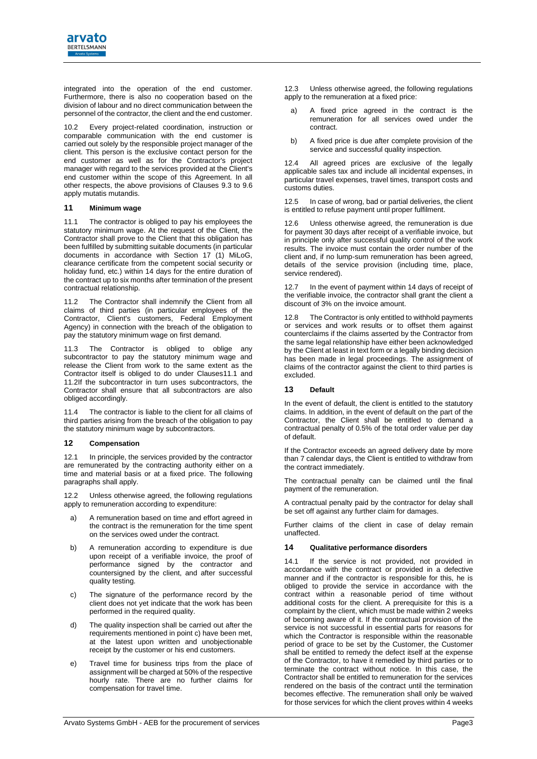

integrated into the operation of the end customer. Furthermore, there is also no cooperation based on the division of labour and no direct communication between the personnel of the contractor, the client and the end customer.

10.2 Every project-related coordination, instruction or comparable communication with the end customer is carried out solely by the responsible project manager of the client. This person is the exclusive contact person for the end customer as well as for the Contractor's project manager with regard to the services provided at the Client's end customer within the scope of this Agreement. In all other respects, the above provisions of Clauses [9.3](#page-1-0) to [9.6](#page-1-1) apply mutatis mutandis.

#### **11 Minimum wage**

<span id="page-2-0"></span>11.1 The contractor is obliged to pay his employees the statutory minimum wage. At the request of the Client, the Contractor shall prove to the Client that this obligation has been fulfilled by submitting suitable documents (in particular documents in accordance with Section 17 (1) MiLoG, clearance certificate from the competent social security or holiday fund, etc.) within 14 days for the entire duration of the contract up to six months after termination of the present contractual relationship.

<span id="page-2-1"></span>11.2 The Contractor shall indemnify the Client from all claims of third parties (in particular employees of the Contractor, Client's customers, Federal Employment Agency) in connection with the breach of the obligation to pay the statutory minimum wage on first demand.

11.3 The Contractor is obliged to oblige any subcontractor to pay the statutory minimum wage and release the Client from work to the same extent as the Contractor itself is obliged to do under Clause[s11.1](#page-2-0) and [11.2If](#page-2-1) the subcontractor in turn uses subcontractors, the Contractor shall ensure that all subcontractors are also obliged accordingly.

11.4 The contractor is liable to the client for all claims of third parties arising from the breach of the obligation to pay the statutory minimum wage by subcontractors.

#### **12 Compensation**

12.1 In principle, the services provided by the contractor are remunerated by the contracting authority either on a time and material basis or at a fixed price. The following paragraphs shall apply.

12.2 Unless otherwise agreed, the following regulations apply to remuneration according to expenditure:

- a) A remuneration based on time and effort agreed in the contract is the remuneration for the time spent on the services owed under the contract.
- b) A remuneration according to expenditure is due upon receipt of a verifiable invoice, the proof of performance signed by the contractor and countersigned by the client, and after successful quality testing.
- c) The signature of the performance record by the client does not yet indicate that the work has been performed in the required quality.
- d) The quality inspection shall be carried out after the requirements mentioned in point c) have been met, at the latest upon written and unobjectionable receipt by the customer or his end customers.
- e) Travel time for business trips from the place of assignment will be charged at 50% of the respective hourly rate. There are no further claims for compensation for travel time.

12.3 Unless otherwise agreed, the following regulations apply to the remuneration at a fixed price:

- a) A fixed price agreed in the contract is the remuneration for all services owed under the contract.
- b) A fixed price is due after complete provision of the service and successful quality inspection.

12.4 All agreed prices are exclusive of the legally applicable sales tax and include all incidental expenses, in particular travel expenses, travel times, transport costs and customs duties.

12.5 In case of wrong, bad or partial deliveries, the client is entitled to refuse payment until proper fulfilment.

12.6 Unless otherwise agreed, the remuneration is due for payment 30 days after receipt of a verifiable invoice, but in principle only after successful quality control of the work results. The invoice must contain the order number of the client and, if no lump-sum remuneration has been agreed, details of the service provision (including time, place, service rendered).

12.7 In the event of payment within 14 days of receipt of the verifiable invoice, the contractor shall grant the client a discount of 3% on the invoice amount.

12.8 The Contractor is only entitled to withhold payments or services and work results or to offset them against counterclaims if the claims asserted by the Contractor from the same legal relationship have either been acknowledged by the Client at least in text form or a legally binding decision has been made in legal proceedings. The assignment of claims of the contractor against the client to third parties is excluded.

# **13 Default**

In the event of default, the client is entitled to the statutory claims. In addition, in the event of default on the part of the Contractor, the Client shall be entitled to demand a contractual penalty of 0.5% of the total order value per day of default.

If the Contractor exceeds an agreed delivery date by more than 7 calendar days, the Client is entitled to withdraw from the contract immediately.

The contractual penalty can be claimed until the final payment of the remuneration.

A contractual penalty paid by the contractor for delay shall be set off against any further claim for damages.

Further claims of the client in case of delay remain unaffected.

## **14 Qualitative performance disorders**

14.1 If the service is not provided, not provided in accordance with the contract or provided in a defective manner and if the contractor is responsible for this, he is obliged to provide the service in accordance with the contract within a reasonable period of time without additional costs for the client. A prerequisite for this is a complaint by the client, which must be made within 2 weeks of becoming aware of it. If the contractual provision of the service is not successful in essential parts for reasons for which the Contractor is responsible within the reasonable period of grace to be set by the Customer, the Customer shall be entitled to remedy the defect itself at the expense of the Contractor, to have it remedied by third parties or to terminate the contract without notice. In this case, the Contractor shall be entitled to remuneration for the services rendered on the basis of the contract until the termination becomes effective. The remuneration shall only be waived for those services for which the client proves within 4 weeks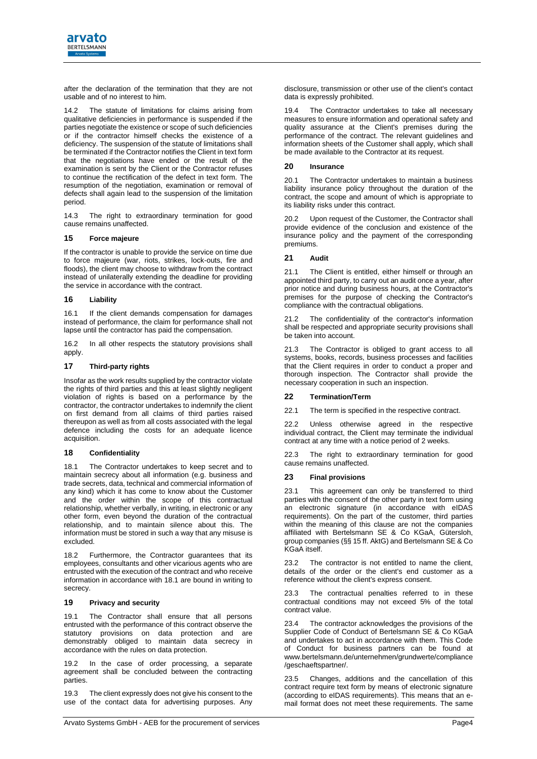

after the declaration of the termination that they are not usable and of no interest to him.

The statute of limitations for claims arising from qualitative deficiencies in performance is suspended if the parties negotiate the existence or scope of such deficiencies or if the contractor himself checks the existence of a deficiency. The suspension of the statute of limitations shall be terminated if the Contractor notifies the Client in text form that the negotiations have ended or the result of the examination is sent by the Client or the Contractor refuses to continue the rectification of the defect in text form. The resumption of the negotiation, examination or removal of defects shall again lead to the suspension of the limitation period.

14.3 The right to extraordinary termination for good cause remains unaffected.

# **15 Force majeure**

If the contractor is unable to provide the service on time due to force majeure (war, riots, strikes, lock-outs, fire and floods), the client may choose to withdraw from the contract instead of unilaterally extending the deadline for providing the service in accordance with the contract.

# **16 Liability**

16.1 If the client demands compensation for damages instead of performance, the claim for performance shall not lapse until the contractor has paid the compensation.

16.2 In all other respects the statutory provisions shall apply.

# **17 Third-party rights**

Insofar as the work results supplied by the contractor violate the rights of third parties and this at least slightly negligent violation of rights is based on a performance by the contractor, the contractor undertakes to indemnify the client on first demand from all claims of third parties raised thereupon as well as from all costs associated with the legal defence including the costs for an adequate licence acquisition.

## **18 Confidentiality**

<span id="page-3-0"></span>18.1 The Contractor undertakes to keep secret and to maintain secrecy about all information (e.g. business and trade secrets, data, technical and commercial information of any kind) which it has come to know about the Customer and the order within the scope of this contractual relationship, whether verbally, in writing, in electronic or any other form, even beyond the duration of the contractual relationship, and to maintain silence about this. The information must be stored in such a way that any misuse is excluded.

18.2 Furthermore, the Contractor guarantees that its employees, consultants and other vicarious agents who are entrusted with the execution of the contract and who receive information in accordance with [18.1](#page-3-0) are bound in writing to secrecy.

## **19 Privacy and security**

19.1 The Contractor shall ensure that all persons entrusted with the performance of this contract observe the statutory provisions on data protection and are demonstrably obliged to maintain data secrecy in accordance with the rules on data protection.

19.2 In the case of order processing, a separate agreement shall be concluded between the contracting parties.

19.3 The client expressly does not give his consent to the use of the contact data for advertising purposes. Any 19.4 The Contractor undertakes to take all necessary measures to ensure information and operational safety and quality assurance at the Client's premises during the performance of the contract. The relevant guidelines and information sheets of the Customer shall apply, which shall be made available to the Contractor at its request.

# **20 Insurance**

20.1 The Contractor undertakes to maintain a business liability insurance policy throughout the duration of the contract, the scope and amount of which is appropriate to its liability risks under this contract.

20.2 Upon request of the Customer, the Contractor shall provide evidence of the conclusion and existence of the insurance policy and the payment of the corresponding premiums.

# **21 Audit**

21.1 The Client is entitled, either himself or through an appointed third party, to carry out an audit once a year, after prior notice and during business hours, at the Contractor's premises for the purpose of checking the Contractor's compliance with the contractual obligations.

21.2 The confidentiality of the contractor's information shall be respected and appropriate security provisions shall be taken into account.

21.3 The Contractor is obliged to grant access to all systems, books, records, business processes and facilities that the Client requires in order to conduct a proper and thorough inspection. The Contractor shall provide the necessary cooperation in such an inspection.

## **22 Termination/Term**

22.1 The term is specified in the respective contract.

22.2 Unless otherwise agreed in the respective individual contract, the Client may terminate the individual contract at any time with a notice period of 2 weeks.

22.3 The right to extraordinary termination for good cause remains unaffected.

# **23 Final provisions**

23.1 This agreement can only be transferred to third parties with the consent of the other party in text form using an electronic signature (in accordance with eIDAS requirements). On the part of the customer, third parties within the meaning of this clause are not the companies affiliated with Bertelsmann SE & Co KGaA, Gütersloh, group companies (§§ 15 ff. AktG) and Bertelsmann SE & Co KGaA itself.

23.2 The contractor is not entitled to name the client, details of the order or the client's end customer as a reference without the client's express consent.

23.3 The contractual penalties referred to in these contractual conditions may not exceed 5% of the total contract value.

23.4 The contractor acknowledges the provisions of the Supplier Code of Conduct of Bertelsmann SE & Co KGaA and undertakes to act in accordance with them. This Code of Conduct for business partners can be found at www.bertelsmann.de/unternehmen/grundwerte/compliance /geschaeftspartner/.

23.5 Changes, additions and the cancellation of this contract require text form by means of electronic signature (according to eIDAS requirements). This means that an email format does not meet these requirements. The same